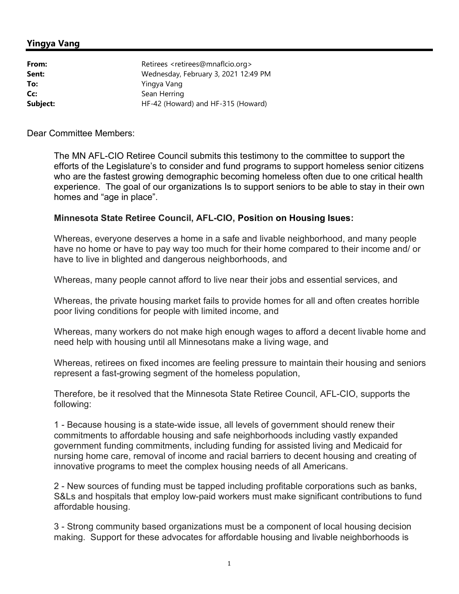## Yingya Vang

| Retirees <retirees@mnaflcio.org></retirees@mnaflcio.org> |
|----------------------------------------------------------|
| Wednesday, February 3, 2021 12:49 PM                     |
| Yingya Vang                                              |
| Sean Herring                                             |
| HF-42 (Howard) and HF-315 (Howard)                       |
|                                                          |

Dear Committee Members:

The MN AFL-CIO Retiree Council submits this testimony to the committee to support the efforts of the Legislature's to consider and fund programs to support homeless senior citizens who are the fastest growing demographic becoming homeless often due to one critical health experience. The goal of our organizations Is to support seniors to be able to stay in their own homes and "age in place".

## Minnesota State Retiree Council, AFL-CIO, Position on Housing Isues:

Whereas, everyone deserves a home in a safe and livable neighborhood, and many people have no home or have to pay way too much for their home compared to their income and/ or have to live in blighted and dangerous neighborhoods, and

Whereas, many people cannot afford to live near their jobs and essential services, and

Whereas, the private housing market fails to provide homes for all and often creates horrible poor living conditions for people with limited income, and

Whereas, many workers do not make high enough wages to afford a decent livable home and need help with housing until all Minnesotans make a living wage, and

Whereas, retirees on fixed incomes are feeling pressure to maintain their housing and seniors represent a fast-growing segment of the homeless population,

Therefore, be it resolved that the Minnesota State Retiree Council, AFL-CIO, supports the following:

1 - Because housing is a state-wide issue, all levels of government should renew their commitments to affordable housing and safe neighborhoods including vastly expanded government funding commitments, including funding for assisted living and Medicaid for nursing home care, removal of income and racial barriers to decent housing and creating of innovative programs to meet the complex housing needs of all Americans.

2 - New sources of funding must be tapped including profitable corporations such as banks, S&Ls and hospitals that employ low-paid workers must make significant contributions to fund affordable housing.

3 - Strong community based organizations must be a component of local housing decision making. Support for these advocates for affordable housing and livable neighborhoods is